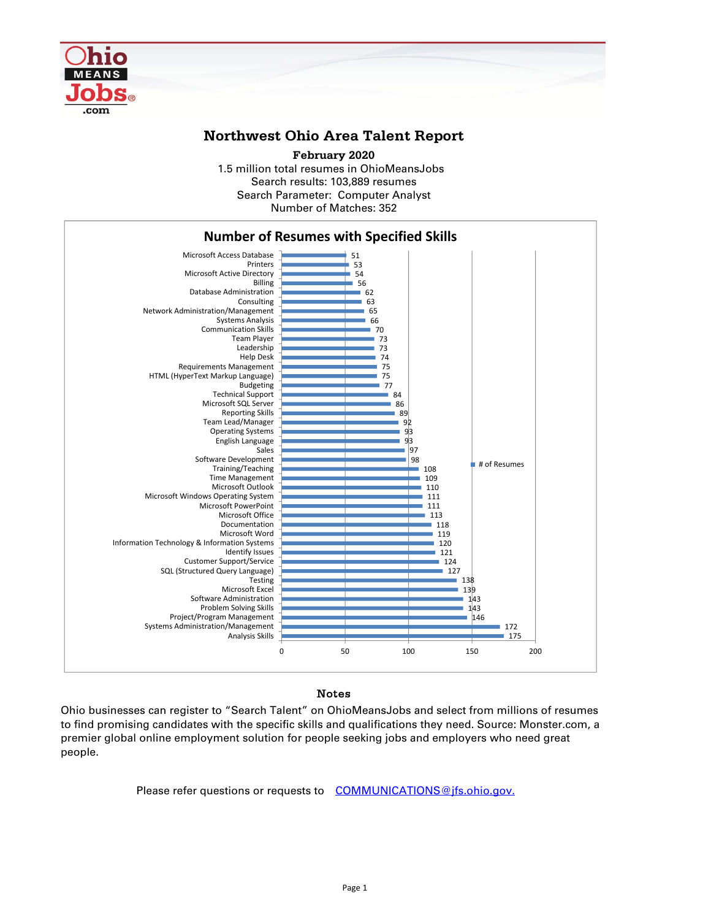

## **Northwest Ohio Area Talent Report**

1.5 million total resumes in OhioMeansJobs Search results: 103,889 resumes Number of Matches: 352 **February 2020** Search Parameter: Computer Analyst



## Notes

Ohio businesses can register to "Search Talent" on OhioMeansJobs and select from millions of resumes to find promising candidates with the specific skills and qualifications they need. Source: Monster.com, a premier global online employment solution for people seeking jobs and employers who need great people.

Please refer questions or requests to COMMUNICATIONS@jfs.ohio.gov.